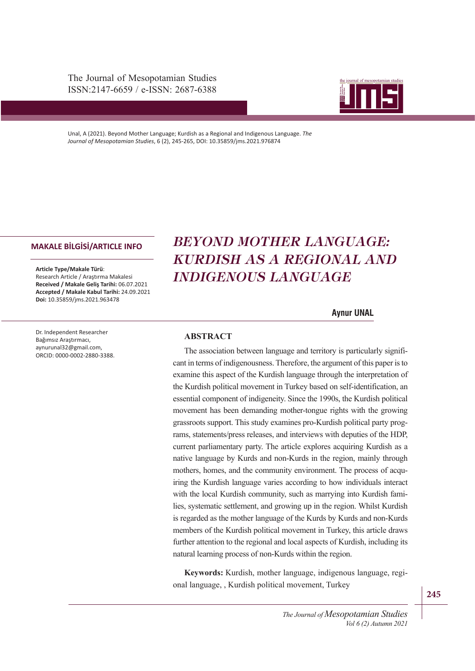The Journal of Mesopotamian Studies ISSN:2147-6659 / e-ISSN: 2687-6388



Unal, A (2021). Beyond Mother Language; Kurdish as a Regional and Indigenous Language. *The Journal of Mesopotamian Studies*, 6 (2), 245-265, DOI: 10.35859/jms.2021.976874

#### **MAKALE BİLGİSİ/ARTICLE INFO**

**Article Type/Makale Türü**: Research Article / Araştırma Makalesi **Received / Makale Geliş Tarihi:** 06.07.2021 **Accepted / Makale Kabul Tarihi:** 24.09.2021 **Doi:** 10.35859/jms.2021.963478

Dr. Independent Researcher Bağımsız Araştırmacı, aynurunal32@gmail.com, ORCID: 0000-0002-2880-3388.

# ISSN: 2147-6659 *BEYOND MOTHER LANGUAGE:*  **KURDISH AS A REGIONAL AND** *INDIGENOUS LANGUAGE*

#### **Aynur UNAL**

#### **ABSTRACT**

examine this aspect of the Kurdish language through the interpretation of the Kurdish political movement in Turkey based on self-identification, an essential component of indigeneity. Since the 1990s, the Kurdish political The association between language and territory is particularly significant in terms of indigenousness. Therefore, the argument of this paper is to movement has been demanding mother-tongue rights with the growing grassroots support. This study examines pro-Kurdish political party programs, statements/press releases, and interviews with deputies of the HDP, current parliamentary party. The article explores acquiring Kurdish as a native language by Kurds and non-Kurds in the region, mainly through mothers, homes, and the community environment. The process of acquiring the Kurdish language varies according to how individuals interact with the local Kurdish community, such as marrying into Kurdish families, systematic settlement, and growing up in the region. Whilst Kurdish is regarded as the mother language of the Kurds by Kurds and non-Kurds members of the Kurdish political movement in Turkey, this article draws further attention to the regional and local aspects of Kurdish, including its natural learning process of non-Kurds within the region.

**Keywords:** Kurdish, mother language, indigenous language, regional language, , Kurdish political movement, Turkey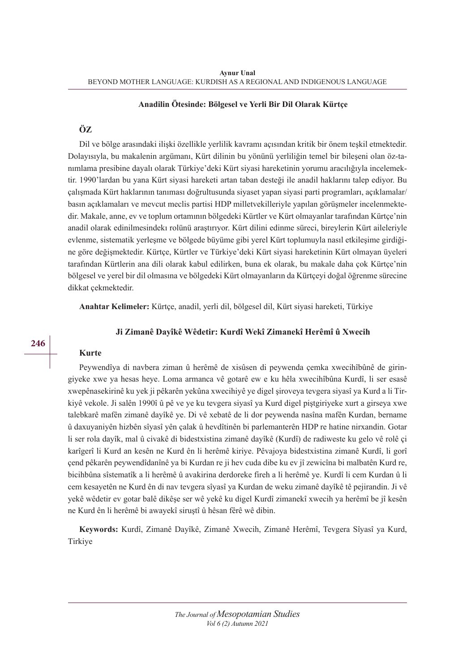#### **Anadilin Ötesinde: Bölgesel ve Yerli Bir Dil Olarak Kürtçe**

## **ÖZ**

Dil ve bölge arasındaki ilişki özellikle yerlilik kavramı açısından kritik bir önem teşkil etmektedir. Dolayısıyla, bu makalenin argümanı, Kürt dilinin bu yönünü yerliliğin temel bir bileşeni olan öz-tanımlama presibine dayalı olarak Türkiye'deki Kürt siyasi hareketinin yorumu aracılığıyla incelemektir. 1990'lardan bu yana Kürt siyasi hareketi artan taban desteği ile anadil haklarını talep ediyor. Bu çalışmada Kürt haklarının tanıması doğrultusunda siyaset yapan siyasi parti programları, açıklamalar/ basın açıklamaları ve mevcut meclis partisi HDP milletvekilleriyle yapılan görüşmeler incelenmektedir. Makale, anne, ev ve toplum ortamının bölgedeki Kürtler ve Kürt olmayanlar tarafından Kürtçe'nin anadil olarak edinilmesindekı rolünü araştırıyor. Kürt dilini edinme süreci, bireylerin Kürt aileleriyle evlenme, sistematik yerleşme ve bölgede büyüme gibi yerel Kürt toplumuyla nasıl etkileşime girdiğine göre değişmektedir. Kürtçe, Kürtler ve Türkiye'deki Kürt siyasi hareketinin Kürt olmayan üyeleri tarafından Kürtlerin ana dili olarak kabul edilirken, buna ek olarak, bu makale daha çok Kürtçe'nin bölgesel ve yerel bir dil olmasına ve bölgedeki Kürt olmayanların da Kürtçeyi doğal öğrenme sürecine dikkat çekmektedir.

**Anahtar Kelimeler:** Kürtçe, anadil, yerli dil, bölgesel dil, Kürt siyasi hareketi, Türkiye

## **Ji Zimanê Dayîkê Wêdetir: Kurdî Wekî Zimanekî Herêmî û Xwecih**

## **Kurte**

Peywendîya di navbera ziman û herêmê de xisûsen di peywenda çemka xwecihîbûnê de giringiyeke xwe ya hesas heye. Loma armanca vê gotarê ew e ku hêla xwecihîbûna Kurdî, li ser esasê xwepênasekirinê ku yek ji pêkarên yekûna xwecihiyê ye digel şiroveya tevgera siyasî ya Kurd a li Tirkiyê vekole. Ji salên 1990î û pê ve ye ku tevgera siyasî ya Kurd digel piştgiriyeke xurt a girseya xwe talebkarê mafên zimanê dayîkê ye. Di vê xebatê de li dor peywenda nasîna mafên Kurdan, bername û daxuyaniyên hizbên sîyasî yên çalak û hevdîtinên bi parlemanterên HDP re hatine nirxandin. Gotar li ser rola dayîk, mal û civakê di bidestxistina zimanê dayîkê (Kurdî) de radiweste ku gelo vê rolê çi karîgerî li Kurd an kesên ne Kurd ên li herêmê kiriye. Pêvajoya bidestxistina zimanê Kurdî, li gorî çend pêkarên peywendîdanînê ya bi Kurdan re ji hev cuda dibe ku ev jî zewicîna bi malbatên Kurd re, bicihbûna sîstematîk a li herêmê û avakirina derdoreke fireh a li herêmê ye. Kurdî li cem Kurdan û li cem kesayetên ne Kurd ên di nav tevgera sîyasî ya Kurdan de weku zimanê dayîkê tê pejirandin. Ji vê yekê wêdetir ev gotar balê dikêşe ser wê yekê ku digel Kurdî zimanekî xwecih ya herêmî be jî kesên ne Kurd ên li herêmê bi awayekî siruştî û hêsan fêrê wê dibin.

**Keywords:** Kurdî, Zimanê Dayîkê, Zimanê Xwecih, Zimanê Herêmî, Tevgera Sîyasî ya Kurd, Tirkiye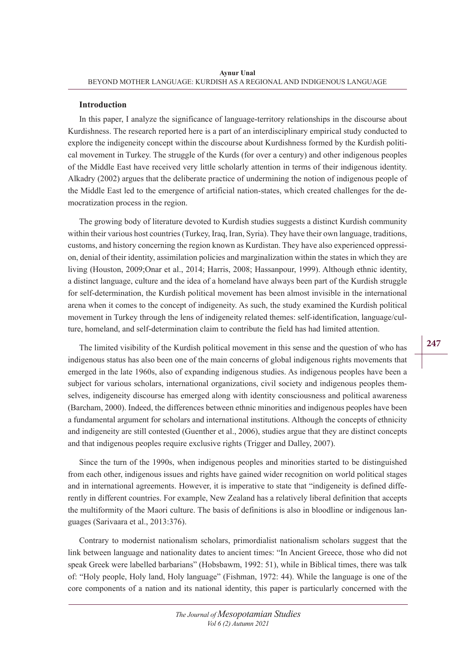#### **Introduction**

In this paper, I analyze the significance of language-territory relationships in the discourse about Kurdishness. The research reported here is a part of an interdisciplinary empirical study conducted to explore the indigeneity concept within the discourse about Kurdishness formed by the Kurdish political movement in Turkey. The struggle of the Kurds (for over a century) and other indigenous peoples of the Middle East have received very little scholarly attention in terms of their indigenous identity. Alkadry (2002) argues that the deliberate practice of undermining the notion of indigenous people of the Middle East led to the emergence of artificial nation-states, which created challenges for the democratization process in the region.

The growing body of literature devoted to Kurdish studies suggests a distinct Kurdish community within their various host countries (Turkey, Iraq, Iran, Syria). They have their own language, traditions, customs, and history concerning the region known as Kurdistan. They have also experienced oppression, denial of their identity, assimilation policies and marginalization within the states in which they are living (Houston, 2009;Onar et al., 2014; Harris, 2008; Hassanpour, 1999). Although ethnic identity, a distinct language, culture and the idea of a homeland have always been part of the Kurdish struggle for self-determination, the Kurdish political movement has been almost invisible in the international arena when it comes to the concept of indigeneity. As such, the study examined the Kurdish political movement in Turkey through the lens of indigeneity related themes: self-identification, language/culture, homeland, and self-determination claim to contribute the field has had limited attention.

The limited visibility of the Kurdish political movement in this sense and the question of who has indigenous status has also been one of the main concerns of global indigenous rights movements that emerged in the late 1960s, also of expanding indigenous studies. As indigenous peoples have been a subject for various scholars, international organizations, civil society and indigenous peoples themselves, indigeneity discourse has emerged along with identity consciousness and political awareness (Barcham, 2000). Indeed, the differences between ethnic minorities and indigenous peoples have been a fundamental argument for scholars and international institutions. Although the concepts of ethnicity and indigeneity are still contested (Guenther et al., 2006), studies argue that they are distinct concepts and that indigenous peoples require exclusive rights (Trigger and Dalley, 2007).

Since the turn of the 1990s, when indigenous peoples and minorities started to be distinguished from each other, indigenous issues and rights have gained wider recognition on world political stages and in international agreements. However, it is imperative to state that "indigeneity is defined differently in different countries. For example, New Zealand has a relatively liberal definition that accepts the multiformity of the Maori culture. The basis of definitions is also in bloodline or indigenous languages (Sarivaara et al., 2013:376).

Contrary to modernist nationalism scholars, primordialist nationalism scholars suggest that the link between language and nationality dates to ancient times: "In Ancient Greece, those who did not speak Greek were labelled barbarians" (Hobsbawm, 1992: 51), while in Biblical times, there was talk of: "Holy people, Holy land, Holy language" (Fishman, 1972: 44). While the language is one of the core components of a nation and its national identity, this paper is particularly concerned with the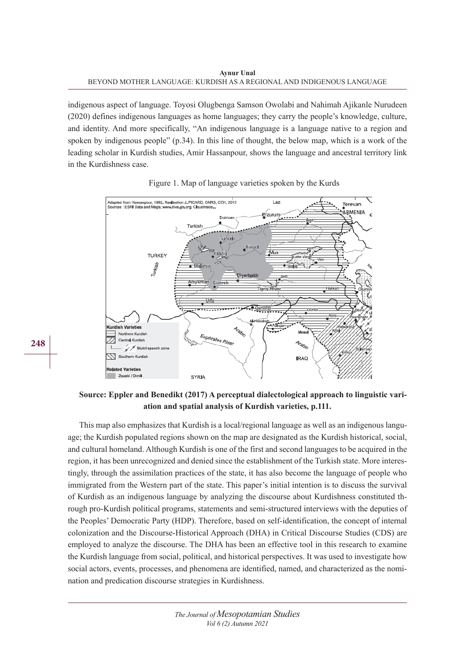indigenous aspect of language. Toyosi Olugbenga Samson Owolabi and Nahimah Ajikanle Nurudeen (2020) defines indigenous languages as home languages; they carry the people's knowledge, culture, and identity. And more specifically, "An indigenous language is a language native to a region and spoken by indigenous people" (p.34). In this line of thought, the below map, which is a work of the leading scholar in Kurdish studies, Amir Hassanpour, shows the language and ancestral territory link in the Kurdishness case.



Figure 1. Map of language varieties spoken by the Kurds

**Source: Eppler and Benedikt (2017) A perceptual dialectological approach to linguistic variation and spatial analysis of Kurdish varieties, p.111.** 

This map also emphasizes that Kurdish is a local/regional language as well as an indigenous language; the Kurdish populated regions shown on the map are designated as the Kurdish historical, social, and cultural homeland. Although Kurdish is one of the first and second languages to be acquired in the region, it has been unrecognized and denied since the establishment of the Turkish state. More interestingly, through the assimilation practices of the state, it has also become the language of people who immigrated from the Western part of the state. This paper's initial intention is to discuss the survival of Kurdish as an indigenous language by analyzing the discourse about Kurdishness constituted through pro-Kurdish political programs, statements and semi-structured interviews with the deputies of the Peoples' Democratic Party (HDP). Therefore, based on self-identification, the concept of internal colonization and the Discourse-Historical Approach (DHA) in Critical Discourse Studies (CDS) are employed to analyze the discourse. The DHA has been an effective tool in this research to examine the Kurdish language from social, political, and historical perspectives. It was used to investigate how social actors, events, processes, and phenomena are identified, named, and characterized as the nomination and predication discourse strategies in Kurdishness.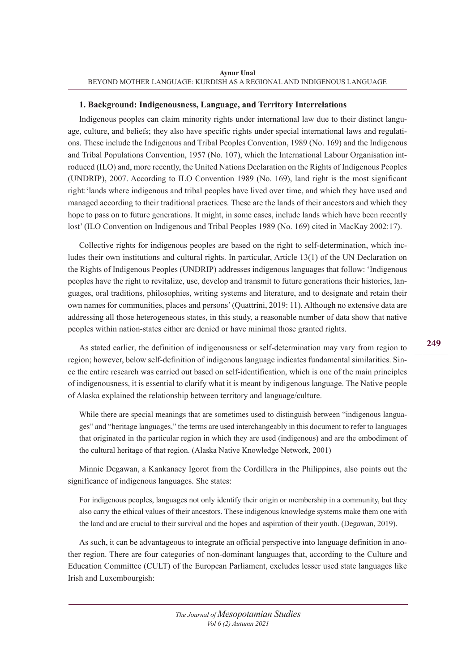#### **1. Background: Indigenousness, Language, and Territory Interrelations**

Indigenous peoples can claim minority rights under international law due to their distinct language, culture, and beliefs; they also have specific rights under special international laws and regulations. These include the Indigenous and Tribal Peoples Convention, 1989 (No. 169) and the Indigenous and Tribal Populations Convention, 1957 (No. 107), which the International Labour Organisation introduced (ILO) and, more recently, the United Nations Declaration on the Rights of Indigenous Peoples (UNDRIP), 2007. According to ILO Convention 1989 (No. 169), land right is the most significant right:'lands where indigenous and tribal peoples have lived over time, and which they have used and managed according to their traditional practices. These are the lands of their ancestors and which they hope to pass on to future generations. It might, in some cases, include lands which have been recently lost' (ILO Convention on Indigenous and Tribal Peoples 1989 (No. 169) cited in MacKay 2002:17).

Collective rights for indigenous peoples are based on the right to self-determination, which includes their own institutions and cultural rights. In particular, Article 13(1) of the UN Declaration on the Rights of Indigenous Peoples (UNDRIP) addresses indigenous languages that follow: 'Indigenous peoples have the right to revitalize, use, develop and transmit to future generations their histories, languages, oral traditions, philosophies, writing systems and literature, and to designate and retain their own names for communities, places and persons' (Quattrini, 2019: 11). Although no extensive data are addressing all those heterogeneous states, in this study, a reasonable number of data show that native peoples within nation-states either are denied or have minimal those granted rights.

As stated earlier, the definition of indigenousness or self-determination may vary from region to region; however, below self-definition of indigenous language indicates fundamental similarities. Since the entire research was carried out based on self-identification, which is one of the main principles of indigenousness, it is essential to clarify what it is meant by indigenous language. The Native people of Alaska explained the relationship between territory and language/culture.

While there are special meanings that are sometimes used to distinguish between "indigenous languages" and "heritage languages," the terms are used interchangeably in this document to refer to languages that originated in the particular region in which they are used (indigenous) and are the embodiment of the cultural heritage of that region. (Alaska Native Knowledge Network, 2001)

Minnie Degawan, a Kankanaey Igorot from the Cordillera in the Philippines, also points out the significance of indigenous languages. She states:

For indigenous peoples, languages not only identify their origin or membership in a community, but they also carry the ethical values of their ancestors. These indigenous knowledge systems make them one with the land and are crucial to their survival and the hopes and aspiration of their youth. (Degawan, 2019).

As such, it can be advantageous to integrate an official perspective into language definition in another region. There are four categories of non-dominant languages that, according to the Culture and Education Committee (CULT) of the European Parliament, excludes lesser used state languages like Irish and Luxembourgish: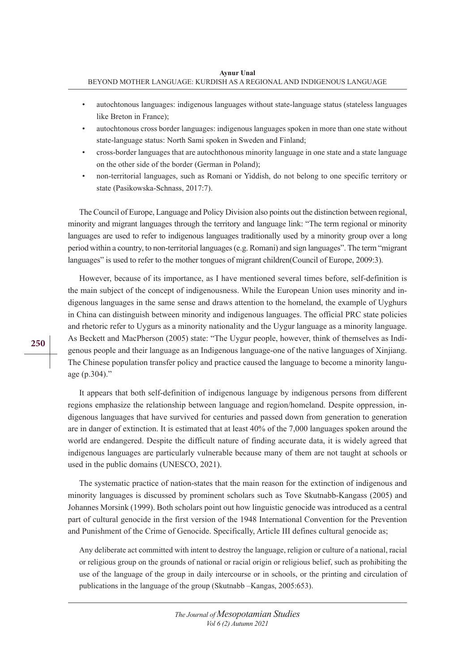- autochtonous languages: indigenous languages without state-language status (stateless languages like Breton in France);
- autochtonous cross border languages: indigenous languages spoken in more than one state without state-language status: North Sami spoken in Sweden and Finland;
- cross-border languages that are autochthonous minority language in one state and a state language on the other side of the border (German in Poland);
- non-territorial languages, such as Romani or Yiddish, do not belong to one specific territory or state (Pasikowska-Schnass, 2017:7).

The Council of Europe, Language and Policy Division also points out the distinction between regional, minority and migrant languages through the territory and language link: "The term regional or minority languages are used to refer to indigenous languages traditionally used by a minority group over a long period within a country, to non-territorial languages (e.g. Romani) and sign languages". The term "migrant languages" is used to refer to the mother tongues of migrant children(Council of Europe, 2009:3).

However, because of its importance, as I have mentioned several times before, self-definition is the main subject of the concept of indigenousness. While the European Union uses minority and indigenous languages in the same sense and draws attention to the homeland, the example of Uyghurs in China can distinguish between minority and indigenous languages. The official PRC state policies and rhetoric refer to Uygurs as a minority nationality and the Uygur language as a minority language. As Beckett and MacPherson (2005) state: "The Uygur people, however, think of themselves as Indigenous people and their language as an Indigenous language-one of the native languages of Xinjiang. The Chinese population transfer policy and practice caused the language to become a minority language (p.304)."

It appears that both self-definition of indigenous language by indigenous persons from different regions emphasize the relationship between language and region/homeland. Despite oppression, indigenous languages that have survived for centuries and passed down from generation to generation are in danger of extinction. It is estimated that at least 40% of the 7,000 languages spoken around the world are endangered. Despite the difficult nature of finding accurate data, it is widely agreed that indigenous languages are particularly vulnerable because many of them are not taught at schools or used in the public domains (UNESCO, 2021).

The systematic practice of nation-states that the main reason for the extinction of indigenous and minority languages is discussed by prominent scholars such as Tove Skutnabb-Kangass (2005) and Johannes Morsink (1999). Both scholars point out how linguistic genocide was introduced as a central part of cultural genocide in the first version of the 1948 International Convention for the Prevention and Punishment of the Crime of Genocide. Specifically, Article III defines cultural genocide as;

Any deliberate act committed with intent to destroy the language, religion or culture of a national, racial or religious group on the grounds of national or racial origin or religious belief, such as prohibiting the use of the language of the group in daily intercourse or in schools, or the printing and circulation of publications in the language of the group (Skutnabb –Kangas, 2005:653).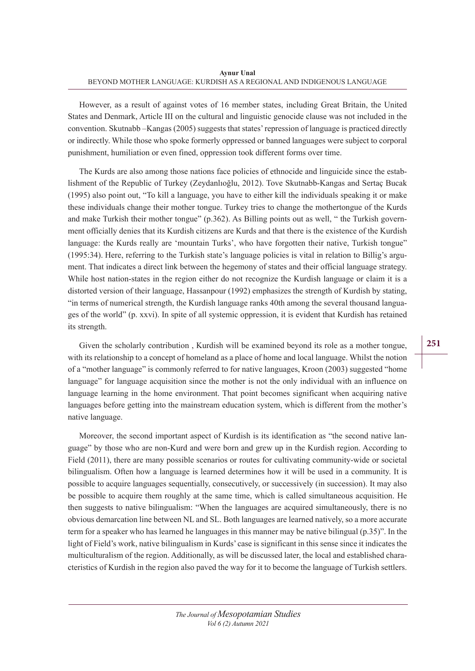However, as a result of against votes of 16 member states, including Great Britain, the United States and Denmark, Article III on the cultural and linguistic genocide clause was not included in the convention. Skutnabb –Kangas (2005) suggests that states' repression of language is practiced directly or indirectly. While those who spoke formerly oppressed or banned languages were subject to corporal punishment, humiliation or even fined, oppression took different forms over time.

The Kurds are also among those nations face policies of ethnocide and linguicide since the establishment of the Republic of Turkey (Zeydanlıoğlu, 2012). Tove Skutnabb-Kangas and Sertaç Bucak (1995) also point out, "To kill a language, you have to either kill the individuals speaking it or make these individuals change their mother tongue. Turkey tries to change the mothertongue of the Kurds and make Turkish their mother tongue" (p.362). As Billing points out as well, " the Turkish government officially denies that its Kurdish citizens are Kurds and that there is the existence of the Kurdish language: the Kurds really are 'mountain Turks', who have forgotten their native, Turkish tongue" (1995:34). Here, referring to the Turkish state's language policies is vital in relation to Billig's argument. That indicates a direct link between the hegemony of states and their official language strategy. While host nation-states in the region either do not recognize the Kurdish language or claim it is a distorted version of their language, Hassanpour (1992) emphasizes the strength of Kurdish by stating, "in terms of numerical strength, the Kurdish language ranks 40th among the several thousand languages of the world" (p. xxvi). In spite of all systemic oppression, it is evident that Kurdish has retained its strength.

Given the scholarly contribution , Kurdish will be examined beyond its role as a mother tongue, with its relationship to a concept of homeland as a place of home and local language. Whilst the notion of a "mother language" is commonly referred to for native languages, Kroon (2003) suggested "home language" for language acquisition since the mother is not the only individual with an influence on language learning in the home environment. That point becomes significant when acquiring native languages before getting into the mainstream education system, which is different from the mother's native language.

Moreover, the second important aspect of Kurdish is its identification as "the second native language" by those who are non-Kurd and were born and grew up in the Kurdish region. According to Field (2011), there are many possible scenarios or routes for cultivating community-wide or societal bilingualism. Often how a language is learned determines how it will be used in a community. It is possible to acquire languages sequentially, consecutively, or successively (in succession). It may also be possible to acquire them roughly at the same time, which is called simultaneous acquisition. He then suggests to native bilingualism: "When the languages are acquired simultaneously, there is no obvious demarcation line between NL and SL. Both languages are learned natively, so a more accurate term for a speaker who has learned he languages in this manner may be native bilingual (p.35)". In the light of Field's work, native bilingualism in Kurds' case is significant in this sense since it indicates the multiculturalism of the region. Additionally, as will be discussed later, the local and established characteristics of Kurdish in the region also paved the way for it to become the language of Turkish settlers.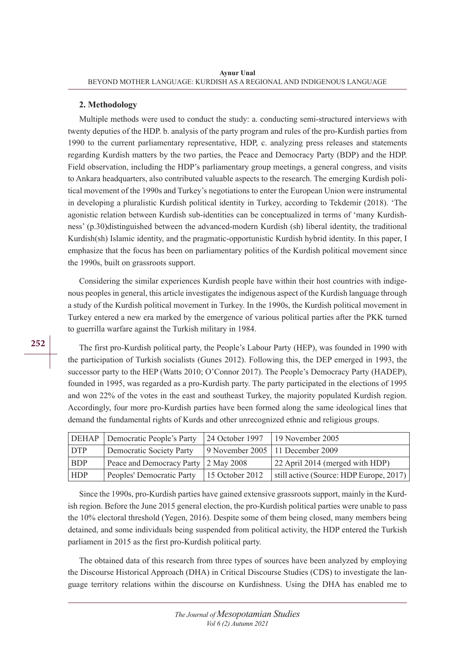#### **2. Methodology**

Multiple methods were used to conduct the study: a. conducting semi-structured interviews with twenty deputies of the HDP. b. analysis of the party program and rules of the pro-Kurdish parties from 1990 to the current parliamentary representative, HDP, c. analyzing press releases and statements regarding Kurdish matters by the two parties, the Peace and Democracy Party (BDP) and the HDP. Field observation, including the HDP's parliamentary group meetings, a general congress, and visits to Ankara headquarters, also contributed valuable aspects to the research. The emerging Kurdish political movement of the 1990s and Turkey's negotiations to enter the European Union were instrumental in developing a pluralistic Kurdish political identity in Turkey, according to Tekdemir (2018). 'The agonistic relation between Kurdish sub-identities can be conceptualized in terms of 'many Kurdishness' (p.30)distinguished between the advanced-modern Kurdish (sh) liberal identity, the traditional Kurdish(sh) Islamic identity, and the pragmatic-opportunistic Kurdish hybrid identity. In this paper, I emphasize that the focus has been on parliamentary politics of the Kurdish political movement since the 1990s, built on grassroots support.

Considering the similar experiences Kurdish people have within their host countries with indigenous peoples in general, this article investigates the indigenous aspect of the Kurdish language through a study of the Kurdish political movement in Turkey. In the 1990s, the Kurdish political movement in Turkey entered a new era marked by the emergence of various political parties after the PKK turned to guerrilla warfare against the Turkish military in 1984.

The first pro-Kurdish political party, the People's Labour Party (HEP), was founded in 1990 with the participation of Turkish socialists (Gunes 2012). Following this, the DEP emerged in 1993, the successor party to the HEP (Watts 2010; O'Connor 2017). The People's Democracy Party (HADEP), founded in 1995, was regarded as a pro-Kurdish party. The party participated in the elections of 1995 and won 22% of the votes in the east and southeast Turkey, the majority populated Kurdish region. Accordingly, four more pro-Kurdish parties have been formed along the same ideological lines that demand the fundamental rights of Kurds and other unrecognized ethnic and religious groups.

|            | <b>DEHAP</b> Democratic People's Party      | 24 October 1997   19 November 2005      |
|------------|---------------------------------------------|-----------------------------------------|
| DTP        | Democratic Society Party                    | 9 November 2005   11 December 2009      |
| <b>BDP</b> | Peace and Democracy Party 2 May 2008        | 22 April 2014 (merged with HDP)         |
| <b>HDP</b> | Peoples' Democratic Party   15 October 2012 | still active (Source: HDP Europe, 2017) |

Since the 1990s, pro-Kurdish parties have gained extensive grassroots support, mainly in the Kurdish region. Before the June 2015 general election, the pro-Kurdish political parties were unable to pass the 10% electoral threshold (Yegen, 2016). Despite some of them being closed, many members being detained, and some individuals being suspended from political activity, the HDP entered the Turkish parliament in 2015 as the first pro-Kurdish political party.

The obtained data of this research from three types of sources have been analyzed by employing the Discourse Historical Approach (DHA) in Critical Discourse Studies (CDS) to investigate the language territory relations within the discourse on Kurdishness. Using the DHA has enabled me to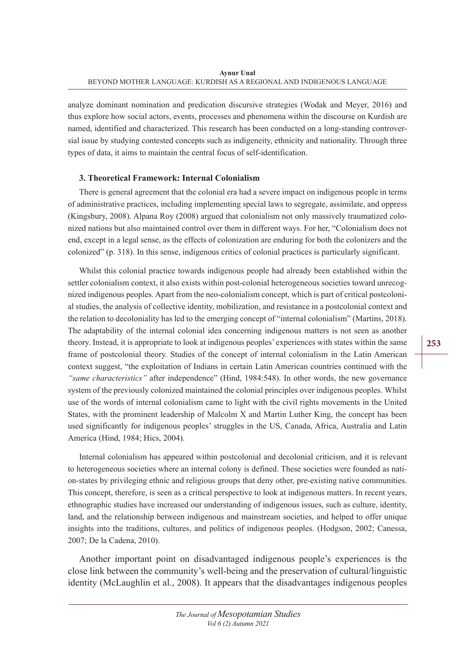analyze dominant nomination and predication discursive strategies (Wodak and Meyer, 2016) and thus explore how social actors, events, processes and phenomena within the discourse on Kurdish are named, identified and characterized. This research has been conducted on a long-standing controversial issue by studying contested concepts such as indigeneity, ethnicity and nationality. Through three types of data, it aims to maintain the central focus of self-identification.

## **3. Theoretical Framework: Internal Colonialism**

There is general agreement that the colonial era had a severe impact on indigenous people in terms of administrative practices, including implementing special laws to segregate, assimilate, and oppress (Kingsbury, 2008). Alpana Roy (2008) argued that colonialism not only massively traumatized colonized nations but also maintained control over them in different ways. For her, "Colonialism does not end, except in a legal sense, as the effects of colonization are enduring for both the colonizers and the colonized" (p. 318). In this sense, indigenous critics of colonial practices is particularly significant.

Whilst this colonial practice towards indigenous people had already been established within the settler colonialism context, it also exists within post-colonial heterogeneous societies toward unrecognized indigenous peoples. Apart from the neo-colonialism concept, which is part of critical postcolonial studies, the analysis of collective identity, mobilization, and resistance in a postcolonial context and the relation to decoloniality has led to the emerging concept of "internal colonialism" (Martins, 2018). The adaptability of the internal colonial idea concerning indigenous matters is not seen as another theory. Instead, it is appropriate to look at indigenous peoples' experiences with states within the same frame of postcolonial theory. Studies of the concept of internal colonialism in the Latin American context suggest, "the exploitation of Indians in certain Latin American countries continued with the *"same characteristics"* after independence" (Hind, 1984:548). In other words, the new governance system of the previously colonized maintained the colonial principles over indigenous peoples. Whilst use of the words of internal colonialism came to light with the civil rights movements in the United States, with the prominent leadership of Malcolm X and Martin Luther King, the concept has been used significantly for indigenous peoples' struggles in the US, Canada, Africa, Australia and Latin America (Hind, 1984; Hics, 2004).

Internal colonialism has appeared within postcolonial and decolonial criticism, and it is relevant to heterogeneous societies where an internal colony is defined. These societies were founded as nation-states by privileging ethnic and religious groups that deny other, pre-existing native communities. This concept, therefore, is seen as a critical perspective to look at indigenous matters. In recent years, ethnographic studies have increased our understanding of indigenous issues, such as culture, identity, land, and the relationship between indigenous and mainstream societies, and helped to offer unique insights into the traditions, cultures, and politics of indigenous peoples. (Hodgson, 2002; Canessa, 2007; De la Cadena, 2010).

Another important point on disadvantaged indigenous people's experiences is the close link between the community's well-being and the preservation of cultural/linguistic identity (McLaughlin et al., 2008). It appears that the disadvantages indigenous peoples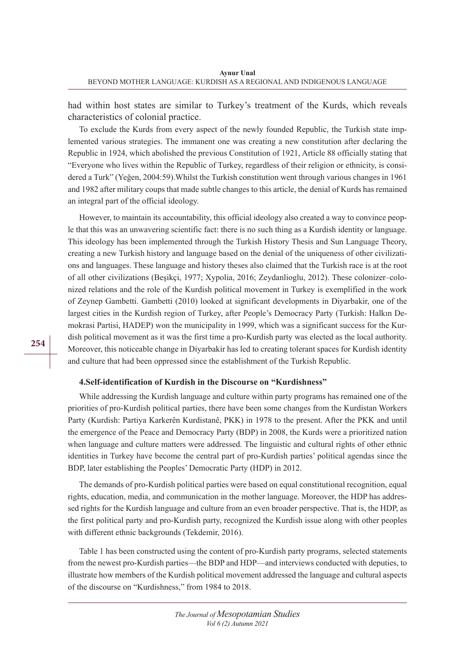had within host states are similar to Turkey's treatment of the Kurds, which reveals characteristics of colonial practice.

To exclude the Kurds from every aspect of the newly founded Republic, the Turkish state implemented various strategies. The immanent one was creating a new constitution after declaring the Republic in 1924, which abolished the previous Constitution of 1921, Article 88 officially stating that "Everyone who lives within the Republic of Turkey, regardless of their religion or ethnicity, is considered a Turk" (Yeğen, 2004:59).Whilst the Turkish constitution went through various changes in 1961 and 1982 after military coups that made subtle changes to this article, the denial of Kurds has remained an integral part of the official ideology.

However, to maintain its accountability, this official ideology also created a way to convince people that this was an unwavering scientific fact: there is no such thing as a Kurdish identity or language. This ideology has been implemented through the Turkish History Thesis and Sun Language Theory, creating a new Turkish history and language based on the denial of the uniqueness of other civilizations and languages. These language and history theses also claimed that the Turkish race is at the root of all other civilizations (Beşikçi, 1977; Xypolia, 2016; Zeydanlioglu, 2012). These colonizer–colonized relations and the role of the Kurdish political movement in Turkey is exemplified in the work of Zeynep Gambetti. Gambetti (2010) looked at significant developments in Diyarbakir, one of the largest cities in the Kurdish region of Turkey, after People's Democracy Party (Turkish: Halkın Demokrasi Partisi, HADEP) won the municipality in 1999, which was a significant success for the Kurdish political movement as it was the first time a pro-Kurdish party was elected as the local authority. Moreover, this noticeable change in Diyarbakir has led to creating tolerant spaces for Kurdish identity and culture that had been oppressed since the establishment of the Turkish Republic.

#### **4.Self-identification of Kurdish in the Discourse on "Kurdishness"**

While addressing the Kurdish language and culture within party programs has remained one of the priorities of pro-Kurdish political parties, there have been some changes from the Kurdistan Workers Party (Kurdish: Partiya Karkerên Kurdistanê, PKK) in 1978 to the present. After the PKK and until the emergence of the Peace and Democracy Party (BDP) in 2008, the Kurds were a prioritized nation when language and culture matters were addressed. The linguistic and cultural rights of other ethnic identities in Turkey have become the central part of pro-Kurdish parties' political agendas since the BDP, later establishing the Peoples' Democratic Party (HDP) in 2012.

The demands of pro-Kurdish political parties were based on equal constitutional recognition, equal rights, education, media, and communication in the mother language. Moreover, the HDP has addressed rights for the Kurdish language and culture from an even broader perspective. That is, the HDP, as the first political party and pro-Kurdish party, recognized the Kurdish issue along with other peoples with different ethnic backgrounds (Tekdemir, 2016).

Table 1 has been constructed using the content of pro-Kurdish party programs, selected statements from the newest pro-Kurdish parties—the BDP and HDP—and interviews conducted with deputies, to illustrate how members of the Kurdish political movement addressed the language and cultural aspects of the discourse on "Kurdishness," from 1984 to 2018.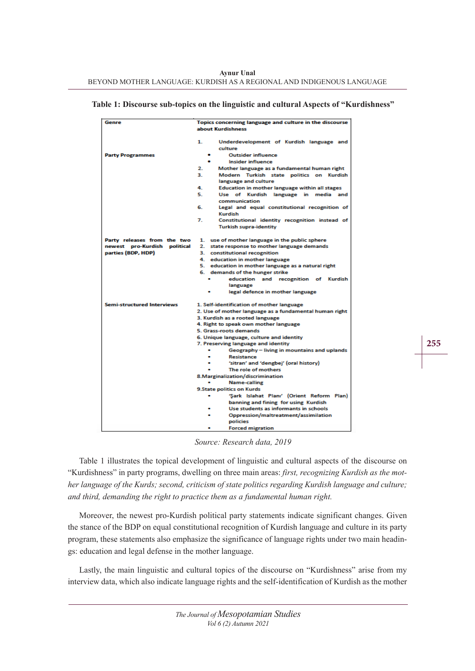| Table 1: Discourse sub-topics on the linguistic and cultural Aspects of "Kurdishness" |  |  |  |
|---------------------------------------------------------------------------------------|--|--|--|
|---------------------------------------------------------------------------------------|--|--|--|

| Genre                             | Topics concerning language and culture in the discourse     |  |
|-----------------------------------|-------------------------------------------------------------|--|
|                                   | about Kurdishness                                           |  |
|                                   |                                                             |  |
|                                   | 1.<br>Underdevelopment of Kurdish language and              |  |
|                                   | culture                                                     |  |
| <b>Party Programmes</b>           | <b>Outsider influence</b><br>۰                              |  |
|                                   | <b>Insider influence</b>                                    |  |
|                                   | 2.<br>Mother language as a fundamental human right          |  |
|                                   | з.<br>Modern Turkish state politics on Kurdish              |  |
|                                   | language and culture                                        |  |
|                                   | 4.<br><b>Education in mother language within all stages</b> |  |
|                                   | 5.<br>Use of Kurdish language in media and                  |  |
|                                   | communication                                               |  |
|                                   | 6.<br>Legal and equal constitutional recognition of         |  |
|                                   | Kurdish                                                     |  |
|                                   | 7.<br>Constitutional identity recognition instead of        |  |
|                                   | <b>Turkish supra-identity</b>                               |  |
|                                   |                                                             |  |
| Party releases from the two       | 1. use of mother language in the public sphere              |  |
| newest pro-Kurdish political      | 2. state response to mother language demands                |  |
| parties (BDP, HDP)                | 3. constitutional recognition                               |  |
|                                   | 4. education in mother language                             |  |
|                                   | 5. education in mother language as a natural right          |  |
|                                   | 6. demands of the hunger strike                             |  |
|                                   | education and recognition of Kurdish                        |  |
|                                   | language                                                    |  |
|                                   | legal defence in mother language                            |  |
| <b>Semi-structured Interviews</b> | 1. Self-identification of mother language                   |  |
|                                   | 2. Use of mother language as a fundamental human right      |  |
|                                   | 3. Kurdish as a rooted language                             |  |
|                                   | 4. Right to speak own mother language                       |  |
|                                   | 5. Grass-roots demands                                      |  |
|                                   | 6. Unique language, culture and identity                    |  |
|                                   | 7. Preserving language and identity                         |  |
|                                   | Geography - living in mountains and uplands                 |  |
|                                   | Resistance                                                  |  |
|                                   | 'sitran' and 'dengbej' (oral history)                       |  |
|                                   | The role of mothers                                         |  |
|                                   | 8. Marginalization/discrimination                           |  |
|                                   | <b>Name-calling</b>                                         |  |
|                                   | <b>9.State politics on Kurds</b>                            |  |
|                                   | 'Sark Islahat Planı' (Orient Reform Plan)                   |  |
|                                   | banning and fining for using Kurdish                        |  |
|                                   | Use students as informants in schools                       |  |
|                                   | Oppression/maltreatment/assimilation                        |  |
|                                   | policies                                                    |  |
|                                   | <b>Forced migration</b>                                     |  |

*Source: Research data, 2019*

Table 1 illustrates the topical development of linguistic and cultural aspects of the discourse on "Kurdishness" in party programs, dwelling on three main areas: *first, recognizing Kurdish as the mother language of the Kurds; second, criticism of state politics regarding Kurdish language and culture; and third, demanding the right to practice them as a fundamental human right.*

Moreover, the newest pro-Kurdish political party statements indicate significant changes. Given the stance of the BDP on equal constitutional recognition of Kurdish language and culture in its party program, these statements also emphasize the significance of language rights under two main headings: education and legal defense in the mother language.

Lastly, the main linguistic and cultural topics of the discourse on "Kurdishness" arise from my interview data, which also indicate language rights and the self-identification of Kurdish as the mother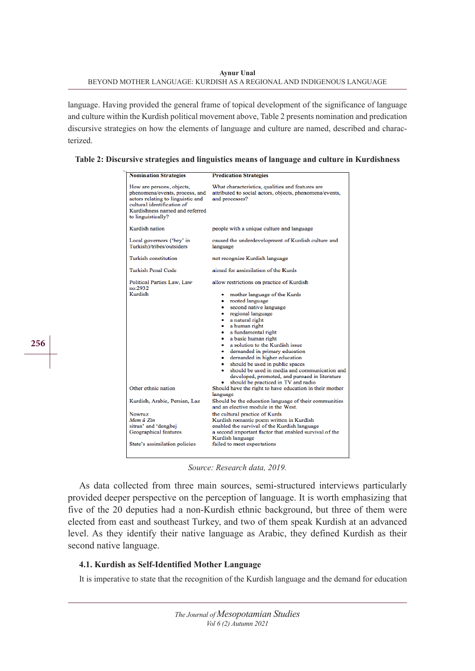language. Having provided the general frame of topical development of the significance of language and culture within the Kurdish political movement above, Table 2 presents nomination and predication discursive strategies on how the elements of language and culture are named, described and characterized.

|  | Table 2: Discursive strategies and linguistics means of language and culture in Kurdishness |
|--|---------------------------------------------------------------------------------------------|
|--|---------------------------------------------------------------------------------------------|

| <b>Nomination Strategies</b>                                                                                                                                                           | <b>Predication Strategies</b>                                                                                                                                                                                                                                                                                                                                                                                                                                                                                                              |  |
|----------------------------------------------------------------------------------------------------------------------------------------------------------------------------------------|--------------------------------------------------------------------------------------------------------------------------------------------------------------------------------------------------------------------------------------------------------------------------------------------------------------------------------------------------------------------------------------------------------------------------------------------------------------------------------------------------------------------------------------------|--|
| How are persons, objects,<br>phenomena/events, process, and<br>actors relating to linguistic and<br>cultural identification of<br>Kurdishness named and referred<br>to linguistically? | What characteristics, qualities and features are<br>attributed to social actors, objects, phenomena/events,<br>and processes?                                                                                                                                                                                                                                                                                                                                                                                                              |  |
| Kurdish nation                                                                                                                                                                         | people with a unique culture and language                                                                                                                                                                                                                                                                                                                                                                                                                                                                                                  |  |
| Local governors ('bey' in<br>Turkish)/tribes/outsiders                                                                                                                                 | caused the underdevelopment of Kurdish culture and<br>language                                                                                                                                                                                                                                                                                                                                                                                                                                                                             |  |
| Turkish constitution                                                                                                                                                                   | not recognize Kurdish language                                                                                                                                                                                                                                                                                                                                                                                                                                                                                                             |  |
| <b>Turkish Penal Code</b>                                                                                                                                                              | aimed for assimilation of the Kurds                                                                                                                                                                                                                                                                                                                                                                                                                                                                                                        |  |
| Political Parties Law, Law<br>no:2932<br>Kurdish                                                                                                                                       | allow restrictions on practice of Kurdish<br>mother language of the Kurds<br>۰<br>rooted language<br>second native language<br>۰<br>regional language<br>a natural right<br>a human right<br>a fundamental right<br>a basic human right<br>$\bullet$<br>a solution to the Kurdish issue<br>۰<br>demanded in primary education<br>demanded in higher education<br>should be used in public spaces<br>should be used in media and communication and<br>developed, promoted, and pursued in literature<br>should be practiced in TV and radio |  |
| Other ethnic nation                                                                                                                                                                    | Should have the right to have education in their mother<br>language                                                                                                                                                                                                                                                                                                                                                                                                                                                                        |  |
| Kurdish, Arabic, Persian, Laz                                                                                                                                                          | Should be the education language of their communities<br>and an elective module in the West.                                                                                                                                                                                                                                                                                                                                                                                                                                               |  |
| Nowruz<br>Mem û Zin<br>sitran' and 'dengbej<br>Geographical features<br>State's assimilation policies                                                                                  | the cultural practice of Kurds<br>Kurdish romantic poem written in Kurdish<br>enabled the survival of the Kurdish language<br>a second important factor that enabled survival of the<br>Kurdish language<br>failed to meet expectations                                                                                                                                                                                                                                                                                                    |  |

*Source: Research data, 2019.* 

As data collected from three main sources, semi-structured interviews particularly provided deeper perspective on the perception of language. It is worth emphasizing that five of the 20 deputies had a non-Kurdish ethnic background, but three of them were elected from east and southeast Turkey, and two of them speak Kurdish at an advanced level. As they identify their native language as Arabic, they defined Kurdish as their second native language.

## **4.1. Kurdish as Self-Identified Mother Language**

**256**

It is imperative to state that the recognition of the Kurdish language and the demand for education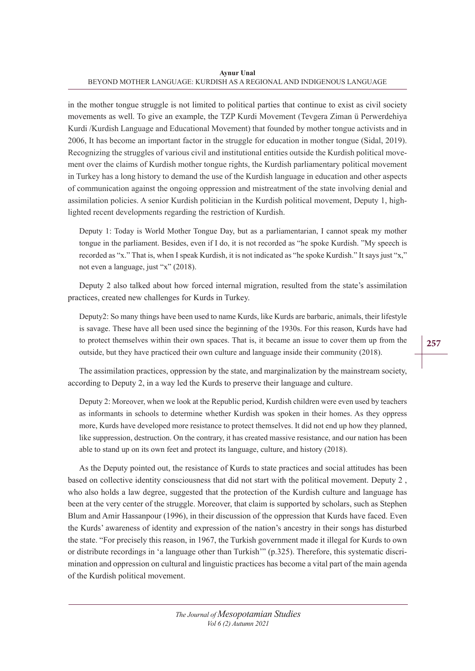**Aynur Unal** BEYOND MOTHER LANGUAGE: KURDISH AS A REGIONAL AND INDIGENOUS LANGUAGE

in the mother tongue struggle is not limited to political parties that continue to exist as civil society movements as well. To give an example, the TZP Kurdi Movement (Tevgera Ziman ü Perwerdehiya Kurdi /Kurdish Language and Educational Movement) that founded by mother tongue activists and in 2006, It has become an important factor in the struggle for education in mother tongue (Sidal, 2019). Recognizing the struggles of various civil and institutional entities outside the Kurdish political movement over the claims of Kurdish mother tongue rights, the Kurdish parliamentary political movement in Turkey has a long history to demand the use of the Kurdish language in education and other aspects of communication against the ongoing oppression and mistreatment of the state involving denial and assimilation policies. A senior Kurdish politician in the Kurdish political movement, Deputy 1, highlighted recent developments regarding the restriction of Kurdish.

Deputy 1: Today is World Mother Tongue Day, but as a parliamentarian, I cannot speak my mother tongue in the parliament. Besides, even if I do, it is not recorded as "he spoke Kurdish. "My speech is recorded as "x." That is, when I speak Kurdish, it is not indicated as "he spoke Kurdish." It says just "x," not even a language, just "x" (2018).

Deputy 2 also talked about how forced internal migration, resulted from the state's assimilation practices, created new challenges for Kurds in Turkey.

Deputy2: So many things have been used to name Kurds, like Kurds are barbaric, animals, their lifestyle is savage. These have all been used since the beginning of the 1930s. For this reason, Kurds have had to protect themselves within their own spaces. That is, it became an issue to cover them up from the outside, but they have practiced their own culture and language inside their community (2018).

The assimilation practices, oppression by the state, and marginalization by the mainstream society, according to Deputy 2, in a way led the Kurds to preserve their language and culture.

Deputy 2: Moreover, when we look at the Republic period, Kurdish children were even used by teachers as informants in schools to determine whether Kurdish was spoken in their homes. As they oppress more, Kurds have developed more resistance to protect themselves. It did not end up how they planned, like suppression, destruction. On the contrary, it has created massive resistance, and our nation has been able to stand up on its own feet and protect its language, culture, and history (2018).

As the Deputy pointed out, the resistance of Kurds to state practices and social attitudes has been based on collective identity consciousness that did not start with the political movement. Deputy 2 , who also holds a law degree, suggested that the protection of the Kurdish culture and language has been at the very center of the struggle. Moreover, that claim is supported by scholars, such as Stephen Blum and Amir Hassanpour (1996), in their discussion of the oppression that Kurds have faced. Even the Kurds' awareness of identity and expression of the nation's ancestry in their songs has disturbed the state. "For precisely this reason, in 1967, the Turkish government made it illegal for Kurds to own or distribute recordings in 'a language other than Turkish'" (p.325). Therefore, this systematic discrimination and oppression on cultural and linguistic practices has become a vital part of the main agenda of the Kurdish political movement.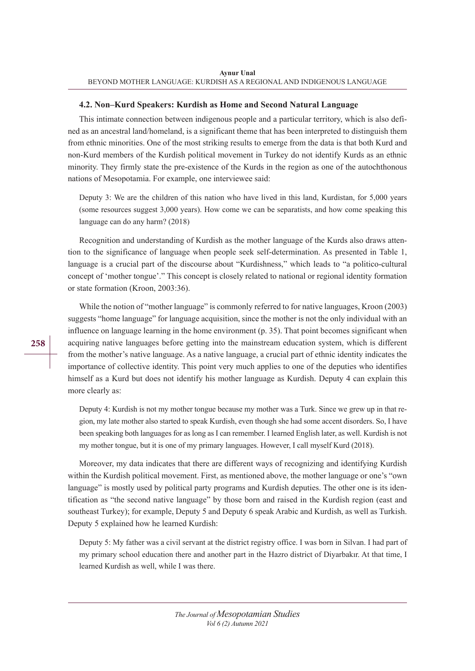#### **4.2. Non–Kurd Speakers: Kurdish as Home and Second Natural Language**

This intimate connection between indigenous people and a particular territory, which is also defined as an ancestral land/homeland, is a significant theme that has been interpreted to distinguish them from ethnic minorities. One of the most striking results to emerge from the data is that both Kurd and non-Kurd members of the Kurdish political movement in Turkey do not identify Kurds as an ethnic minority. They firmly state the pre-existence of the Kurds in the region as one of the autochthonous nations of Mesopotamia. For example, one interviewee said:

Deputy 3: We are the children of this nation who have lived in this land, Kurdistan, for 5,000 years (some resources suggest 3,000 years). How come we can be separatists, and how come speaking this language can do any harm? (2018)

Recognition and understanding of Kurdish as the mother language of the Kurds also draws attention to the significance of language when people seek self-determination. As presented in Table 1, language is a crucial part of the discourse about "Kurdishness," which leads to "a politico-cultural concept of 'mother tongue'." This concept is closely related to national or regional identity formation or state formation (Kroon, 2003:36).

While the notion of "mother language" is commonly referred to for native languages, Kroon (2003) suggests "home language" for language acquisition, since the mother is not the only individual with an influence on language learning in the home environment (p. 35). That point becomes significant when acquiring native languages before getting into the mainstream education system, which is different from the mother's native language. As a native language, a crucial part of ethnic identity indicates the importance of collective identity. This point very much applies to one of the deputies who identifies himself as a Kurd but does not identify his mother language as Kurdish. Deputy 4 can explain this more clearly as:

Deputy 4: Kurdish is not my mother tongue because my mother was a Turk. Since we grew up in that region, my late mother also started to speak Kurdish, even though she had some accent disorders. So, I have been speaking both languages for as long as I can remember. I learned English later, as well. Kurdish is not my mother tongue, but it is one of my primary languages. However, I call myself Kurd (2018).

Moreover, my data indicates that there are different ways of recognizing and identifying Kurdish within the Kurdish political movement. First, as mentioned above, the mother language or one's "own language" is mostly used by political party programs and Kurdish deputies. The other one is its identification as "the second native language" by those born and raised in the Kurdish region (east and southeast Turkey); for example, Deputy 5 and Deputy 6 speak Arabic and Kurdish, as well as Turkish. Deputy 5 explained how he learned Kurdish:

Deputy 5: My father was a civil servant at the district registry office. I was born in Silvan. I had part of my primary school education there and another part in the Hazro district of Diyarbakır. At that time, I learned Kurdish as well, while I was there.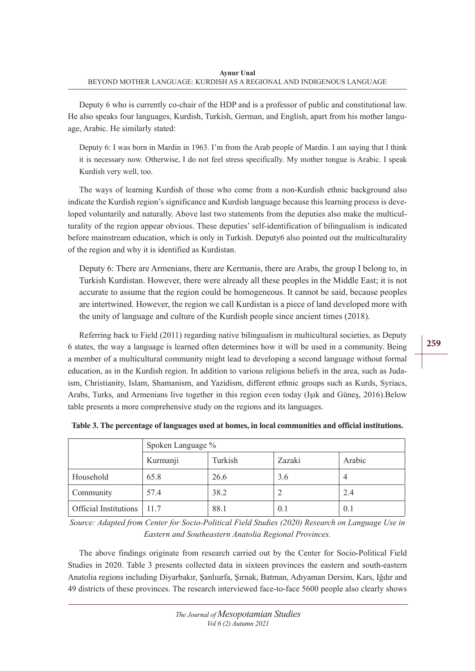Deputy 6 who is currently co-chair of the HDP and is a professor of public and constitutional law. He also speaks four languages, Kurdish, Turkish, German, and English, apart from his mother language, Arabic. He similarly stated:

Deputy 6: I was born in Mardin in 1963. I'm from the Arab people of Mardin. I am saying that I think it is necessary now. Otherwise, I do not feel stress specifically. My mother tongue is Arabic. I speak Kurdish very well, too.

The ways of learning Kurdish of those who come from a non-Kurdish ethnic background also indicate the Kurdish region's significance and Kurdish language because this learning process is developed voluntarily and naturally. Above last two statements from the deputies also make the multiculturality of the region appear obvious. These deputies' self-identification of bilingualism is indicated before mainstream education, which is only in Turkish. Deputy6 also pointed out the multiculturality of the region and why it is identified as Kurdistan.

Deputy 6: There are Armenians, there are Kermanis, there are Arabs, the group I belong to, in Turkish Kurdistan. However, there were already all these peoples in the Middle East; it is not accurate to assume that the region could be homogeneous. It cannot be said, because peoples are intertwined. However, the region we call Kurdistan is a piece of land developed more with the unity of language and culture of the Kurdish people since ancient times (2018).

Referring back to Field (2011) regarding native bilingualism in multicultural societies, as Deputy 6 states, the way a language is learned often determines how it will be used in a community. Being a member of a multicultural community might lead to developing a second language without formal education, as in the Kurdish region. In addition to various religious beliefs in the area, such as Judaism, Christianity, Islam, Shamanism, and Yazidism, different ethnic groups such as Kurds, Syriacs, Arabs, Turks, and Armenians live together in this region even today (Işık and Güneş, 2016).Below table presents a more comprehensive study on the regions and its languages.

|                              | Spoken Language % |         |        |        |
|------------------------------|-------------------|---------|--------|--------|
|                              | Kurmanji          | Turkish | Zazaki | Arabic |
| Household                    | 65.8              | 26.6    | 3.6    | 4      |
| Community                    | 57.4              | 38.2    |        | 2.4    |
| Official Institutions   11.7 |                   | 88.1    | 0.1    | 0.1    |

|  | Table 3. The percentage of languages used at homes, in local communities and official institutions. |
|--|-----------------------------------------------------------------------------------------------------|
|--|-----------------------------------------------------------------------------------------------------|

*Source: Adapted from Center for Socio-Political Field Studies (2020) Research on Language Use in Eastern and Southeastern Anatolia Regional Provinces.* 

The above findings originate from research carried out by the Center for Socio-Political Field Studies in 2020. Table 3 presents collected data in sixteen provinces the eastern and south-eastern Anatolia regions including Diyarbakır, Şanlıurfa, Şırnak, Batman, Adıyaman Dersim, Kars, Iğdır and 49 districts of these provinces. The research interviewed face-to-face 5600 people also clearly shows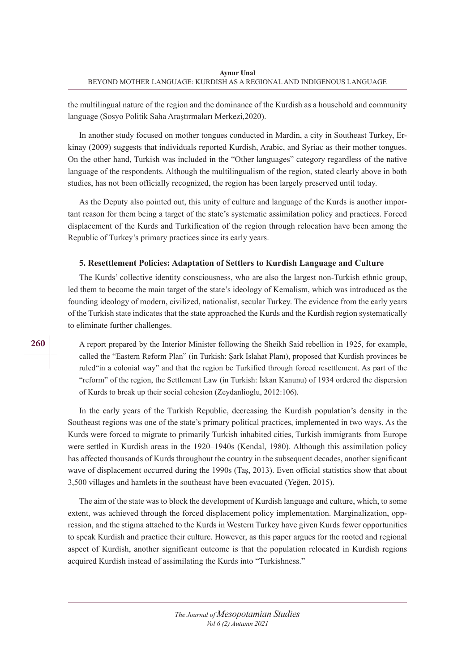the multilingual nature of the region and the dominance of the Kurdish as a household and community language (Sosyo Politik Saha Araştırmaları Merkezi,2020).

In another study focused on mother tongues conducted in Mardin, a city in Southeast Turkey, Erkinay (2009) suggests that individuals reported Kurdish, Arabic, and Syriac as their mother tongues. On the other hand, Turkish was included in the "Other languages" category regardless of the native language of the respondents. Although the multilingualism of the region, stated clearly above in both studies, has not been officially recognized, the region has been largely preserved until today.

As the Deputy also pointed out, this unity of culture and language of the Kurds is another important reason for them being a target of the state's systematic assimilation policy and practices. Forced displacement of the Kurds and Turkification of the region through relocation have been among the Republic of Turkey's primary practices since its early years.

#### **5. Resettlement Policies: Adaptation of Settlers to Kurdish Language and Culture**

The Kurds' collective identity consciousness, who are also the largest non-Turkish ethnic group, led them to become the main target of the state's ideology of Kemalism, which was introduced as the founding ideology of modern, civilized, nationalist, secular Turkey. The evidence from the early years of the Turkish state indicates that the state approached the Kurds and the Kurdish region systematically to eliminate further challenges.

A report prepared by the Interior Minister following the Sheikh Said rebellion in 1925, for example, called the "Eastern Reform Plan" (in Turkish: Şark Islahat Planı), proposed that Kurdish provinces be ruled"in a colonial way" and that the region be Turkified through forced resettlement. As part of the "reform" of the region, the Settlement Law (in Turkish: İskan Kanunu) of 1934 ordered the dispersion of Kurds to break up their social cohesion (Zeydanlioglu, 2012:106).

In the early years of the Turkish Republic, decreasing the Kurdish population's density in the Southeast regions was one of the state's primary political practices, implemented in two ways. As the Kurds were forced to migrate to primarily Turkish inhabited cities, Turkish immigrants from Europe were settled in Kurdish areas in the 1920–1940s (Kendal, 1980). Although this assimilation policy has affected thousands of Kurds throughout the country in the subsequent decades, another significant wave of displacement occurred during the 1990s (Taş, 2013). Even official statistics show that about 3,500 villages and hamlets in the southeast have been evacuated (Yeğen, 2015).

The aim of the state was to block the development of Kurdish language and culture, which, to some extent, was achieved through the forced displacement policy implementation. Marginalization, oppression, and the stigma attached to the Kurds in Western Turkey have given Kurds fewer opportunities to speak Kurdish and practice their culture. However, as this paper argues for the rooted and regional aspect of Kurdish, another significant outcome is that the population relocated in Kurdish regions acquired Kurdish instead of assimilating the Kurds into "Turkishness."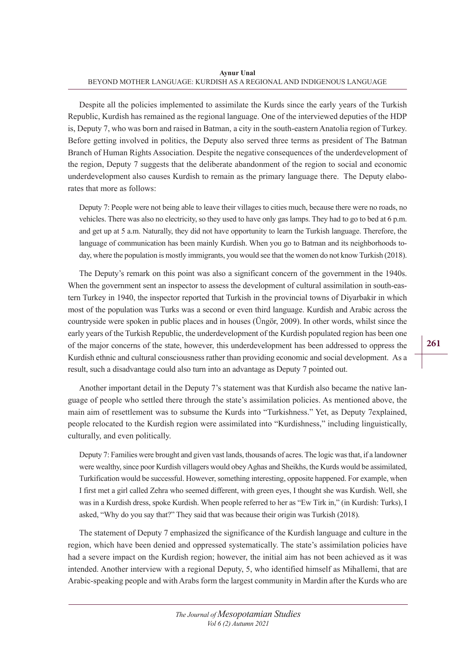Despite all the policies implemented to assimilate the Kurds since the early years of the Turkish Republic, Kurdish has remained as the regional language. One of the interviewed deputies of the HDP is, Deputy 7, who was born and raised in Batman, a city in the south-eastern Anatolia region of Turkey. Before getting involved in politics, the Deputy also served three terms as president of The Batman Branch of Human Rights Association. Despite the negative consequences of the underdevelopment of the region, Deputy 7 suggests that the deliberate abandonment of the region to social and economic underdevelopment also causes Kurdish to remain as the primary language there. The Deputy elaborates that more as follows:

Deputy 7: People were not being able to leave their villages to cities much, because there were no roads, no vehicles. There was also no electricity, so they used to have only gas lamps. They had to go to bed at 6 p.m. and get up at 5 a.m. Naturally, they did not have opportunity to learn the Turkish language. Therefore, the language of communication has been mainly Kurdish. When you go to Batman and its neighborhoods today, where the population is mostly immigrants, you would see that the women do not know Turkish (2018).

The Deputy's remark on this point was also a significant concern of the government in the 1940s. When the government sent an inspector to assess the development of cultural assimilation in south-eastern Turkey in 1940, the inspector reported that Turkish in the provincial towns of Diyarbakir in which most of the population was Turks was a second or even third language. Kurdish and Arabic across the countryside were spoken in public places and in houses (Üngör, 2009). In other words, whilst since the early years of the Turkish Republic, the underdevelopment of the Kurdish populated region has been one of the major concerns of the state, however, this underdevelopment has been addressed to oppress the Kurdish ethnic and cultural consciousness rather than providing economic and social development. As a result, such a disadvantage could also turn into an advantage as Deputy 7 pointed out.

Another important detail in the Deputy 7's statement was that Kurdish also became the native language of people who settled there through the state's assimilation policies. As mentioned above, the main aim of resettlement was to subsume the Kurds into "Turkishness." Yet, as Deputy 7explained, people relocated to the Kurdish region were assimilated into "Kurdishness," including linguistically, culturally, and even politically.

Deputy 7: Families were brought and given vast lands, thousands of acres. The logic was that, if a landowner were wealthy, since poor Kurdish villagers would obey Aghas and Sheikhs, the Kurds would be assimilated, Turkification would be successful. However, something interesting, opposite happened. For example, when I first met a girl called Zehra who seemed different, with green eyes, I thought she was Kurdish. Well, she was in a Kurdish dress, spoke Kurdish. When people referred to her as "Ew Tirk in," (in Kurdish: Turks), I asked, "Why do you say that?" They said that was because their origin was Turkish (2018).

The statement of Deputy 7 emphasized the significance of the Kurdish language and culture in the region, which have been denied and oppressed systematically. The state's assimilation policies have had a severe impact on the Kurdish region; however, the initial aim has not been achieved as it was intended. Another interview with a regional Deputy, 5, who identified himself as Mihallemi, that are Arabic-speaking people and with Arabs form the largest community in Mardin after the Kurds who are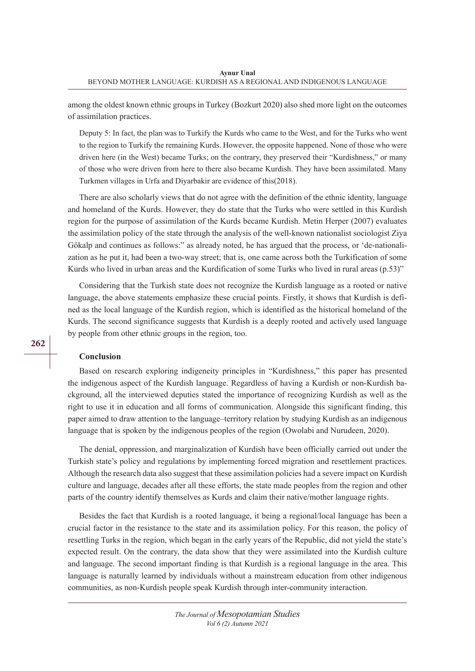among the oldest known ethnic groups in Turkey (Bozkurt 2020) also shed more light on the outcomes of assimilation practices.

Deputy 5: In fact, the plan was to Turkify the Kurds who came to the West, and for the Turks who went to the region to Turkify the remaining Kurds. However, the opposite happened. None of those who were driven here (in the West) became Turks; on the contrary, they preserved their "Kurdishness," or many of those who were driven from here to there also became Kurdish. They have been assimilated. Many Turkmen villages in Urfa and Diyarbakir are evidence of this(2018).

There are also scholarly views that do not agree with the definition of the ethnic identity, language and homeland of the Kurds. However, they do state that the Turks who were settled in this Kurdish region for the purpose of assimilation of the Kurds became Kurdish. Metin Herper (2007) evaluates the assimilation policy of the state through the analysis of the well-known nationalist sociologist Ziya Gökalp and continues as follows:" as already noted, he has argued that the process, or 'de-nationalization as he put it, had been a two-way street; that is, one came across both the Turkification of some Kurds who lived in urban areas and the Kurdification of some Turks who lived in rural areas (p.53)"

Considering that the Turkish state does not recognize the Kurdish language as a rooted or native language, the above statements emphasize these crucial points. Firstly, it shows that Kurdish is defined as the local language of the Kurdish region, which is identified as the historical homeland of the Kurds. The second significance suggests that Kurdish is a deeply rooted and actively used language by people from other ethnic groups in the region, too.

#### **Conclusion**

Based on research exploring indigeneity principles in "Kurdishness," this paper has presented the indigenous aspect of the Kurdish language. Regardless of having a Kurdish or non-Kurdish background, all the interviewed deputies stated the importance of recognizing Kurdish as well as the right to use it in education and all forms of communication. Alongside this significant finding, this paper aimed to draw attention to the language–territory relation by studying Kurdish as an indigenous language that is spoken by the indigenous peoples of the region (Owolabi and Nurudeen, 2020).

The denial, oppression, and marginalization of Kurdish have been officially carried out under the Turkish state's policy and regulations by implementing forced migration and resettlement practices. Although the research data also suggest that these assimilation policies had a severe impact on Kurdish culture and language, decades after all these efforts, the state made peoples from the region and other parts of the country identify themselves as Kurds and claim their native/mother language rights.

Besides the fact that Kurdish is a rooted language, it being a regional/local language has been a crucial factor in the resistance to the state and its assimilation policy. For this reason, the policy of resettling Turks in the region, which began in the early years of the Republic, did not yield the state's expected result. On the contrary, the data show that they were assimilated into the Kurdish culture and language. The second important finding is that Kurdish is a regional language in the area. This language is naturally learned by individuals without a mainstream education from other indigenous communities, as non-Kurdish people speak Kurdish through inter-community interaction.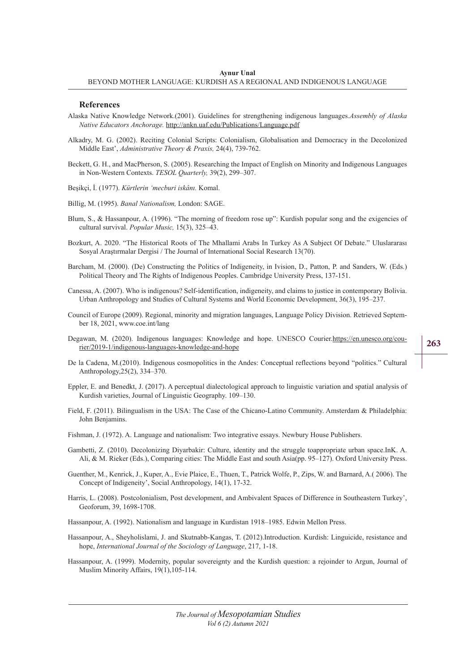#### **References**

- Alaska Native Knowledge Network.(2001). Guidelines for strengthening indigenous languages.*Assembly of Alaska Native Educators Anchorage.* http://ankn.uaf.edu/Publications/Language.pdf
- Alkadry, M. G. (2002). Reciting Colonial Scripts: Colonialism, Globalisation and Democracy in the Decolonized Middle East', *Administrative Theory & Praxis,* 24(4), 739-762.
- Beckett, G. H., and MacPherson, S. (2005). Researching the Impact of English on Minority and Indigenous Languages in Non-Western Contexts. *TESOL Quarterly,* 39(2), 299–307.
- Beşikçi, İ. (1977). *Kürtlerin 'mecburi iskânı.* Komal.

Billig, M. (1995). *Banal Nationalism,* London: SAGE.

- Blum, S., & Hassanpour, A. (1996). "The morning of freedom rose up": Kurdish popular song and the exigencies of cultural survival. *Popular Music,* 15(3), 325–43.
- Bozkurt, A. 2020. "The Historical Roots of The Mhallami Arabs In Turkey As A Subject Of Debate." Uluslararası Sosyal Araştırmalar Dergisi / The Journal of International Social Research 13(70).
- Barcham, M. (2000). (De) Constructing the Politics of Indigeneity, in Ivision, D., Patton, P. and Sanders, W. (Eds.) Political Theory and The Rights of Indigenous Peoples. Cambridge University Press, 137-151.
- Canessa, A. (2007). Who is indigenous? Self-identification, indigeneity, and claims to justice in contemporary Bolivia. Urban Anthropology and Studies of Cultural Systems and World Economic Development, 36(3), 195–237.
- Council of Europe (2009). Regional, minority and migration languages, Language Policy Division. Retrieved September 18, 2021, www.coe.int/lang
- Degawan, M. (2020). Indigenous languages: Knowledge and hope. UNESCO Courier.https://en.unesco.org/courier/2019-1/indigenous-languages-knowledge-and-hope
- **263**
- De la Cadena, M.(2010). Indigenous cosmopolitics in the Andes: Conceptual reflections beyond "politics." Cultural Anthropology,25(2), 334–370.
- Eppler, E. and Benedkt, J. (2017). A perceptual dialectological approach to linguistic variation and spatial analysis of Kurdish varieties, Journal of Linguistic Geography. 109–130.
- Field, F. (2011). Bilingualism in the USA: The Case of the Chicano-Latino Community. Amsterdam & Philadelphia: John Benjamins.
- Fishman, J. (1972). A. Language and nationalism: Two integrative essays. Newbury House Publishers.
- Gambetti, Z. (2010). Decolonizing Diyarbakir: Culture, identity and the struggle toappropriate urban space.InK. A. Ali, & M. Rieker (Eds.), Comparing cities: The Middle East and south Asia(pp. 95–127). Oxford University Press.
- Guenther, M., Kenrick, J., Kuper, A., Evie Plaice, E., Thuen, T., Patrick Wolfe, P., Zips, W. and Barnard, A.( 2006). The Concept of Indigeneity', Social Anthropology, 14(1), 17-32.
- Harris, L. (2008). Postcolonialism, Post development, and Ambivalent Spaces of Difference in Southeastern Turkey', Geoforum, 39, 1698-1708.

Hassanpour, A. (1992). Nationalism and language in Kurdistan 1918–1985. Edwin Mellon Press.

- Hassanpour, A., Sheyholislami, J. and Skutnabb-Kangas, T. (2012).Introduction. Kurdish: Linguicide, resistance and hope, *International Journal of the Sociology of Language*, 217, 1-18.
- Hassanpour, A. (1999). Modernity, popular sovereignty and the Kurdish question: a rejoinder to Argun, Journal of Muslim Minority Affairs, 19(1),105-114.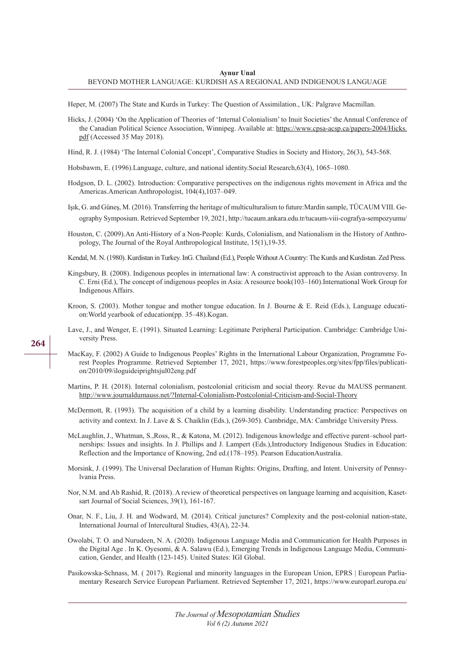Heper, M. (2007) The State and Kurds in Turkey: The Question of Assimilation., UK: Palgrave Macmillan.

- Hicks, J. (2004) 'On the Application of Theories of 'Internal Colonialism' to Inuit Societies' the Annual Conference of the Canadian Political Science Association, Winnipeg. Available at: https://www.cpsa-acsp.ca/papers-2004/Hicks. pdf (Accessed 35 May 2018).
- Hind, R. J. (1984) 'The Internal Colonial Concept', Comparative Studies in Society and History, 26(3), 543-568.
- Hobsbawm, E. (1996).Language, culture, and national identity.Social Research,63(4), 1065–1080.
- Hodgson, D. L. (2002). Introduction: Comparative perspectives on the indigenous rights movement in Africa and the Americas.American Anthropologist, 104(4),1037–049.
- Işık, G. and Güneş, M. (2016). Transferring the heritage of multiculturalism to future:Mardin sample, TÜCAUM VIII. Geography Symposium. Retrieved September 19, 2021, http://tucaum.ankara.edu.tr/tucaum-viii-cografya-sempozyumu/
- Houston, C. (2009).An Anti-History of a Non-People: Kurds, Colonialism, and Nationalism in the History of Anthropology, The Journal of the Royal Anthropological Institute, 15(1),19-35.
- Kendal, M. N. (1980). Kurdistan in Turkey. InG. Chailand (Ed.), People Without A Country: The Kurds and Kurdistan. Zed Press.
- Kingsbury, B. (2008). Indigenous peoples in international law: A constructivist approach to the Asian controversy. In C. Erni (Ed.), The concept of indigenous peoples in Asia: A resource book(103–160).International Work Group for Indigenous Affairs.
- Kroon, S. (2003). Mother tongue and mother tongue education. In J. Bourne & E. Reid (Eds.), Language education:World yearbook of education(pp. 35–48).Kogan.
- Lave, J., and Wenger, E. (1991). Situated Learning: Legitimate Peripheral Participation. Cambridge: Cambridge University Press.
- MacKay, F. (2002) A Guide to Indigenous Peoples' Rights in the International Labour Organization, Programme Forest Peoples Programme. Retrieved September 17, 2021, https://www.forestpeoples.org/sites/fpp/files/publication/2010/09/iloguideiprightsjul02eng.pdf
- Martins, P. H. (2018). Internal colonialism, postcolonial criticism and social theory. Revue du MAUSS permanent. http://www.journaldumauss.net/?Internal-Colonialism-Postcolonial-Criticism-and-Social-Theory
- McDermott, R. (1993). The acquisition of a child by a learning disability. Understanding practice: Perspectives on activity and context. In J. Lave & S. Chaiklin (Eds.), (269-305). Cambridge, MA: Cambridge University Press.
- McLaughlin, J., Whatman, S.,Ross, R., & Katona, M. (2012). Indigenous knowledge and effective parent–school partnerships: Issues and insights. In J. Phillips and J. Lampert (Eds.),Introductory Indigenous Studies in Education: Reflection and the Importance of Knowing, 2nd ed.(178–195). Pearson EducationAustralia.
- Morsink, J. (1999). The Universal Declaration of Human Rights: Origins, Drafting, and Intent. University of Pennsylvania Press.
- Nor, N.M. and Ab Rashid, R. (2018). A review of theoretical perspectives on language learning and acquisition, Kasetsart Journal of Social Sciences, 39(1), 161-167.
- Onar, N. F., Liu, J. H. and Wodward, M. (2014). Critical junctures? Complexity and the post-colonial nation-state, International Journal of Intercultural Studies, 43(A), 22-34.
- Owolabi, T. O. and Nurudeen, N. A. (2020). Indigenous Language Media and Communication for Health Purposes in the Digital Age . In K. Oyesomi, & A. Salawu (Ed.), Emerging Trends in Indigenous Language Media, Communication, Gender, and Health (123-145). United States: IGI Global.
- Pasikowska-Schnass, M. ( 2017). Regional and minority languages in the European Union, EPRS | European Parliamentary Research Service European Parliament. Retrieved September 17, 2021, https://www.europarl.europa.eu/